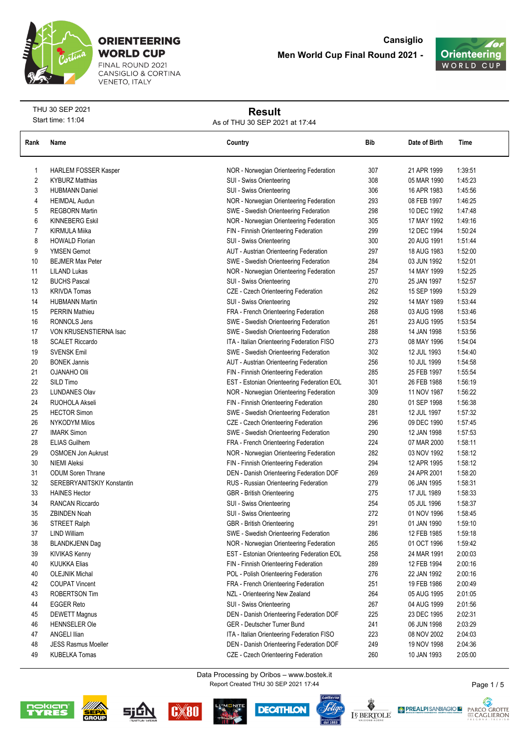

FINAL ROUND 2021<br>CANSIGLIO & CORTINA **VENETO, ITALY** 



THU 30 SEP 2021 Start time: 11:04

# **Result**

As of THU 30 SEP 2021 at 17:44

| Rank | Name                        | Country                                    | Bib | Date of Birth | Time    |
|------|-----------------------------|--------------------------------------------|-----|---------------|---------|
|      |                             |                                            |     |               |         |
| 1    | <b>HARLEM FOSSER Kasper</b> | NOR - Norwegian Orienteering Federation    | 307 | 21 APR 1999   | 1:39:51 |
| 2    | <b>KYBURZ Matthias</b>      | SUI - Swiss Orienteering                   | 308 | 05 MAR 1990   | 1.45:23 |
| 3    | <b>HUBMANN Daniel</b>       | SUI - Swiss Orienteering                   | 306 | 16 APR 1983   | 1:45:56 |
| 4    | <b>HEIMDAL Audun</b>        | NOR - Norwegian Orienteering Federation    | 293 | 08 FEB 1997   | 1:46:25 |
| 5    | <b>REGBORN Martin</b>       | SWE - Swedish Orienteering Federation      | 298 | 10 DEC 1992   | 1.47.48 |
| 6    | <b>KINNEBERG Eskil</b>      | NOR - Norwegian Orienteering Federation    | 305 | 17 MAY 1992   | 1:49:16 |
| 7    | <b>KIRMULA Miika</b>        | FIN - Finnish Orienteering Federation      | 299 | 12 DEC 1994   | 1:50:24 |
| 8    | <b>HOWALD Florian</b>       | SUI - Swiss Orienteering                   | 300 | 20 AUG 1991   | 1:51:44 |
| 9    | <b>YMSEN Gernot</b>         | AUT - Austrian Orienteering Federation     | 297 | 18 AUG 1983   | 1:52:00 |
| 10   | <b>BEJMER Max Peter</b>     | SWE - Swedish Orienteering Federation      | 284 | 03 JUN 1992   | 1:52:01 |
| 11   | <b>LILAND Lukas</b>         | NOR - Norwegian Orienteering Federation    | 257 | 14 MAY 1999   | 1:52:25 |
| 12   | <b>BUCHS Pascal</b>         | SUI - Swiss Orienteering                   | 270 | 25 JAN 1997   | 1:52:57 |
| 13   | <b>KRIVDA Tomas</b>         | CZE - Czech Orienteering Federation        | 262 | 15 SEP 1999   | 1:53:29 |
| 14   | <b>HUBMANN Martin</b>       | SUI - Swiss Orienteering                   | 292 | 14 MAY 1989   | 1:53:44 |
| 15   | <b>PERRIN Mathieu</b>       | FRA - French Orienteering Federation       | 268 | 03 AUG 1998   | 1:53:46 |
| 16   | <b>RONNOLS Jens</b>         | SWE - Swedish Orienteering Federation      | 261 | 23 AUG 1995   | 1:53:54 |
| 17   | VON KRUSENSTIERNA Isac      | SWE - Swedish Orienteering Federation      | 288 | 14 JAN 1998   | 1:53:56 |
| 18   | <b>SCALET Riccardo</b>      | ITA - Italian Orienteering Federation FISO | 273 | 08 MAY 1996   | 1:54:04 |
| 19   | <b>SVENSK Emil</b>          | SWE - Swedish Orienteering Federation      | 302 | 12 JUL 1993   | 1:54:40 |
| 20   | <b>BONEK Jannis</b>         | AUT - Austrian Orienteering Federation     | 256 | 10 JUL 1999   | 1:54:58 |
| 21   | <b>OJANAHO Olli</b>         | FIN - Finnish Orienteering Federation      | 285 | 25 FEB 1997   | 1:55:54 |
| 22   | SILD Timo                   | EST - Estonian Orienteering Federation EOL | 301 | 26 FEB 1988   | 1:56:19 |
| 23   | <b>LUNDANES Olav</b>        | NOR - Norwegian Orienteering Federation    | 309 | 11 NOV 1987   | 1:56:22 |
| 24   | RUOHOLA Akseli              | FIN - Finnish Orienteering Federation      | 280 | 01 SEP 1998   | 1:56:38 |
| 25   | <b>HECTOR Simon</b>         | SWE - Swedish Orienteering Federation      | 281 | 12 JUL 1997   | 1:57:32 |
| 26   | <b>NYKODYM Milos</b>        | CZE - Czech Orienteering Federation        | 296 | 09 DEC 1990   | 1:57:45 |
| 27   | <b>IMARK Simon</b>          | SWE - Swedish Orienteering Federation      | 290 | 12 JAN 1998   | 1:57:53 |
| 28   | <b>ELIAS Guilhem</b>        | FRA - French Orienteering Federation       | 224 | 07 MAR 2000   | 1:58:11 |
| 29   | OSMOEN Jon Aukrust          | NOR - Norwegian Orienteering Federation    | 282 | 03 NOV 1992   | 1:58:12 |
| 30   | <b>NIEMI Aleksi</b>         | FIN - Finnish Orienteering Federation      | 294 | 12 APR 1995   | 1:58:12 |
| 31   | <b>ODUM Soren Thrane</b>    | DEN - Danish Orienteering Federation DOF   | 269 | 24 APR 2001   | 1:58:20 |
| 32   | SEREBRYANITSKIY Konstantin  | RUS - Russian Orienteering Federation      | 279 | 06 JAN 1995   | 1:58:31 |
| 33   | <b>HAINES Hector</b>        | GBR - British Orienteering                 | 275 | 17 JUL 1989   | 1:58:33 |
| 34   | <b>RANCAN Riccardo</b>      | SUI - Swiss Orienteering                   | 254 | 05 JUL 1996   | 1:58:37 |
| 35   | <b>ZBINDEN Noah</b>         | SUI - Swiss Orienteering                   | 272 | 01 NOV 1996   | 1:58:45 |
| 36   | <b>STREET Ralph</b>         | GBR - British Orienteering                 | 291 | 01 JAN 1990   | 1:59:10 |
| 37   | <b>LIND William</b>         | SWE - Swedish Orienteering Federation      | 286 | 12 FEB 1985   | 1:59:18 |
| 38   | <b>BLANDKJENN Dag</b>       | NOR - Norwegian Orienteering Federation    | 265 | 01 OCT 1996   | 1:59:42 |
| 39   | KIVIKAS Kenny               | EST - Estonian Orienteering Federation EOL | 258 | 24 MAR 1991   | 2:00:03 |
| 40   | <b>KUUKKA Elias</b>         | FIN - Finnish Orienteering Federation      | 289 | 12 FEB 1994   | 2:00:16 |
| 40   | <b>OLEJNIK Michal</b>       | POL - Polish Orienteering Federation       | 276 | 22 JAN 1992   | 2:00:16 |
| 42   | <b>COUPAT Vincent</b>       | FRA - French Orienteering Federation       | 251 | 19 FEB 1986   | 2:00:49 |
| 43   | <b>ROBERTSON Tim</b>        | NZL - Orienteering New Zealand             | 264 | 05 AUG 1995   | 2:01:05 |
| 44   | <b>EGGER Reto</b>           | SUI - Swiss Orienteering                   | 267 | 04 AUG 1999   | 2:01:56 |
| 45   | <b>DEWETT Magnus</b>        | DEN - Danish Orienteering Federation DOF   | 225 | 23 DEC 1995   | 2:02:31 |
| 46   | <b>HENNSELER Ole</b>        | GER - Deutscher Turner Bund                | 241 | 06 JUN 1998   | 2:03:29 |
| 47   | <b>ANGELI Ilian</b>         | ITA - Italian Orienteering Federation FISO | 223 | 08 NOV 2002   | 2:04:03 |
| 48   | <b>JESS Rasmus Moeller</b>  | DEN - Danish Orienteering Federation DOF   | 249 | 19 NOV 1998   | 2:04:36 |
| 49   | <b>KUBELKA Tomas</b>        | CZE - Czech Orienteering Federation        | 260 | 10 JAN 1993   | 2:05:00 |

Report Created THU 30 SEP 2021 17:44 Data Processing by Oribos – www.bostek.it















Page 1 / 5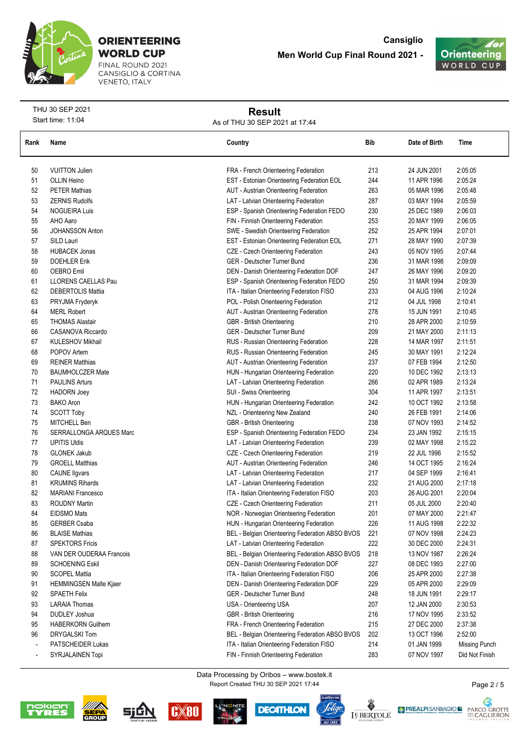

FINAL ROUND 2021 CANSIGLIO & CORTINA **VENETO, ITALY** 



THU 30 SEP 2021 Start time: 11:04

## **Result**

As of THU 30 SEP 2021 at 17:44

| Rank                     | Name                     | Country                                         | Bib | Date of Birth | Time                 |
|--------------------------|--------------------------|-------------------------------------------------|-----|---------------|----------------------|
| 50                       | <b>VUITTON Julien</b>    | FRA - French Orienteering Federation            | 213 | 24 JUN 2001   | 2:05:05              |
| 51                       | <b>OLLIN Heino</b>       | EST - Estonian Orienteering Federation EOL      | 244 | 11 APR 1996   | 2:05:24              |
| 52                       | <b>PETER Mathias</b>     | AUT - Austrian Orienteering Federation          | 263 | 05 MAR 1996   | 2:05:48              |
| 53                       | <b>ZERNIS Rudolfs</b>    | LAT - Latvian Orienteering Federation           | 287 | 03 MAY 1994   | 2:05:59              |
| 54                       | <b>NOGUEIRA Luis</b>     | ESP - Spanish Orienteering Federation FEDO      | 230 | 25 DEC 1989   | 2:06:03              |
| 55                       | AHO Aaro                 | FIN - Finnish Orienteering Federation           | 253 | 20 MAY 1999   | 2:06:05              |
| 56                       | JOHANSSON Anton          | SWE - Swedish Orienteering Federation           | 252 | 25 APR 1994   | 2:07:01              |
| 57                       | SILD Lauri               | EST - Estonian Orienteering Federation EOL      | 271 | 28 MAY 1990   | 2:07:39              |
| 58                       | <b>HUBACEK Jonas</b>     | CZE - Czech Orienteering Federation             | 243 | 05 NOV 1995   | 2:07:44              |
| 59                       | <b>DOEHLER Erik</b>      | GER - Deutscher Turner Bund                     | 236 | 31 MAR 1998   | 2:09:09              |
| 60                       | <b>OEBRO Emil</b>        | DEN - Danish Orienteering Federation DOF        | 247 | 26 MAY 1996   | 2:09:20              |
| 61                       | LLORENS CAELLAS Pau      | ESP - Spanish Orienteering Federation FEDO      | 250 | 31 MAR 1994   | 2:09:39              |
| 62                       | <b>DEBERTOLIS Mattia</b> | ITA - Italian Orienteering Federation FISO      | 233 | 04 AUG 1996   | 2:10:24              |
| 63                       | PRYJMA Fryderyk          | POL - Polish Orienteering Federation            | 212 | 04 JUL 1998   | 2:10:41              |
| 64                       | <b>MERL Robert</b>       | AUT - Austrian Orienteering Federation          | 278 | 15 JUN 1991   | 2:10:45              |
| 65                       | <b>THOMAS Alastair</b>   | <b>GBR</b> - British Orienteering               | 210 | 28 APR 2000   | 2:10:59              |
| 66                       | CASANOVA Riccardo        | GER - Deutscher Turner Bund                     | 209 | 21 MAY 2000   | 2:11:13              |
| 67                       | <b>KULESHOV Mikhail</b>  | RUS - Russian Orienteering Federation           | 228 | 14 MAR 1997   | 2:11:51              |
| 68                       | POPOV Artem              | RUS - Russian Orienteering Federation           | 245 | 30 MAY 1991   | 2:12:24              |
| 69                       | <b>REINER Matthias</b>   | AUT - Austrian Orienteering Federation          | 237 | 07 FEB 1994   | 2:12:50              |
| 70                       | <b>BAUMHOLCZER Mate</b>  | HUN - Hungarian Orienteering Federation         | 220 | 10 DEC 1992   | 2:13:13              |
| 71                       | <b>PAULINS Arturs</b>    | LAT - Latvian Orienteering Federation           | 266 | 02 APR 1989   | 2:13:24              |
| 72                       | <b>HADORN Joey</b>       | SUI - Swiss Orienteering                        | 304 | 11 APR 1997   | 2:13:51              |
| 73                       | <b>BAKO</b> Aron         | HUN - Hungarian Orienteering Federation         | 242 | 10 OCT 1992   | 2:13:58              |
| 74                       | <b>SCOTT Toby</b>        | NZL - Orienteering New Zealand                  | 240 | 26 FEB 1991   | 2:14:06              |
| 75                       | MITCHELL Ben             | GBR - British Orienteering                      | 238 | 07 NOV 1993   | 2:14:52              |
| 76                       | SERRALLONGA ARQUES Marc  | ESP - Spanish Orienteering Federation FEDO      | 234 | 23 JAN 1992   | 2:15:15              |
| 77                       | <b>UPITIS Uldis</b>      | LAT - Latvian Orienteering Federation           | 239 | 02 MAY 1998   | 2:15:22              |
| 78                       | <b>GLONEK Jakub</b>      | CZE - Czech Orienteering Federation             | 219 | 22 JUL 1996   | 2:15:52              |
| 79                       | <b>GROELL Matthias</b>   | AUT - Austrian Orienteering Federation          | 246 | 14 OCT 1995   | 2:16:24              |
| 80                       | <b>CAUNE ligvars</b>     | LAT - Latvian Orienteering Federation           | 217 | 04 SEP 1999   | 2:16:41              |
| 81                       | <b>KRUMINS Rihards</b>   | LAT - Latvian Orienteering Federation           | 232 | 21 AUG 2000   | 2:17:18              |
| 82                       | <b>MARIANI Francesco</b> | ITA - Italian Orienteering Federation FISO      | 203 | 26 AUG 2001   | 2:20:04              |
| 83                       | <b>ROUDNY Martin</b>     | CZE - Czech Orienteering Federation             | 211 | 05 JUL 2000   | 2:20:40              |
| 84                       | <b>EIDSMO Mats</b>       | NOR - Norwegian Orienteering Federation         | 201 | 07 MAY 2000   | 2:21:47              |
| 85                       | <b>GERBER Csaba</b>      | HUN - Hungarian Orienteering Federation         | 226 | 11 AUG 1998   | 2:22:32              |
| 86                       | <b>BLAISE Mathias</b>    | BEL - Belgian Orienteering Federation ABSO BVOS | 221 | 07 NOV 1998   | 2:24:23              |
| 87                       | <b>SPEKTORS Fricis</b>   | LAT - Latvian Orienteering Federation           | 222 | 30 DEC 2000   | 2:24:31              |
| 88                       | VAN DER OUDERAA Francois | BEL - Belgian Orienteering Federation ABSO BVOS | 218 | 13 NOV 1987   | 2:26:24              |
| 89                       | SCHOENING Eskil          | DEN - Danish Orienteering Federation DOF        | 227 | 08 DEC 1993   | 2:27:00              |
| 90                       | <b>SCOPEL Mattia</b>     | ITA - Italian Orienteering Federation FISO      | 206 | 25 APR 2000   | 2:27:38              |
| 91                       | HEMMINGSEN Malte Kjaer   | DEN - Danish Orienteering Federation DOF        | 229 | 05 APR 2000   | 2:29:09              |
| 92                       | <b>SPAETH Felix</b>      | GER - Deutscher Turner Bund                     | 248 | 18 JUN 1991   | 2:29:17              |
| 93                       | <b>LARAIA Thomas</b>     | USA - Orienteering USA                          | 207 | 12 JAN 2000   | 2:30:53              |
| 94                       | DUDLEY Joshua            | <b>GBR</b> - British Orienteering               | 216 | 17 NOV 1995   | 2:33:52              |
| 95                       | <b>HABERKORN Guilhem</b> | FRA - French Orienteering Federation            | 215 | 27 DEC 2000   | 2:37:38              |
| 96                       | <b>DRYGALSKI Tom</b>     | BEL - Belgian Orienteering Federation ABSO BVOS | 202 | 13 OCT 1996   | 2:52:00              |
|                          | PATSCHEIDER Lukas        | ITA - Italian Orienteering Federation FISO      | 214 | 01 JAN 1999   | <b>Missing Punch</b> |
| $\overline{\phantom{a}}$ | SYRJALAINEN Topi         | FIN - Finnish Orienteering Federation           | 283 | 07 NOV 1997   | Did Not Finish       |

Report Created THU 30 SEP 2021 17:44 Data Processing by Oribos – www.bostek.it













PARCO GROTTE

Page 2 / 5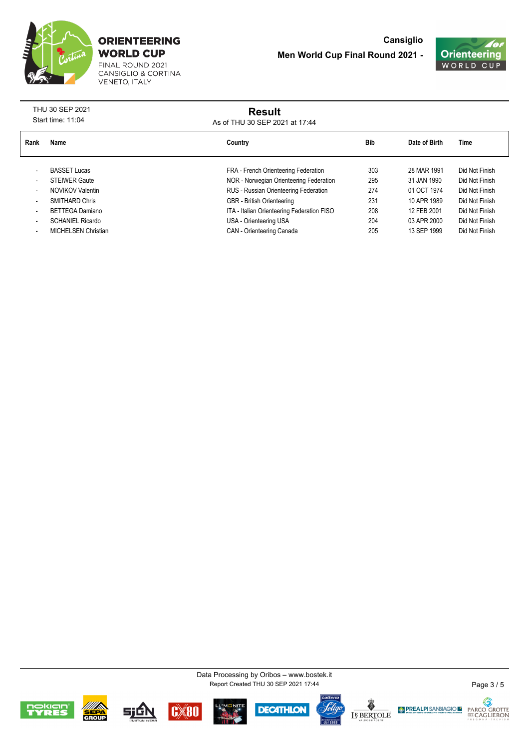

FINAL ROUND 2021<br>CANSIGLIO & CORTINA VENETO, ITALY



| THU 30 SEP 2021<br>Start time: 11:04 |                            | <b>Result</b><br>As of THU 30 SEP 2021 at 17:44 |     |               |                |
|--------------------------------------|----------------------------|-------------------------------------------------|-----|---------------|----------------|
| Rank                                 | Name                       | Country                                         | Bib | Date of Birth | Time           |
|                                      | <b>BASSET Lucas</b>        | FRA - French Orienteering Federation            | 303 | 28 MAR 1991   | Did Not Finish |
|                                      | <b>STEIWER Gaute</b>       | NOR - Norwegian Orienteering Federation         | 295 | 31 JAN 1990   | Did Not Finish |
|                                      | NOVIKOV Valentin           | RUS - Russian Orienteering Federation           | 274 | 01 OCT 1974   | Did Not Finish |
|                                      | <b>SMITHARD Chris</b>      | <b>GBR</b> - British Orienteering               | 231 | 10 APR 1989   | Did Not Finish |
|                                      | BETTEGA Damiano            | ITA - Italian Orienteering Federation FISO      | 208 | 12 FEB 2001   | Did Not Finish |
|                                      | <b>SCHANIEL Ricardo</b>    | USA - Orienteering USA                          | 204 | 03 APR 2000   | Did Not Finish |
|                                      | <b>MICHELSEN Christian</b> | CAN - Orienteering Canada                       | 205 | 13 SEP 1999   | Did Not Finish |

Report Created THU 30 SEP 2021 17:44 Data Processing by Oribos – www.bostek.it



















Page 3 / 5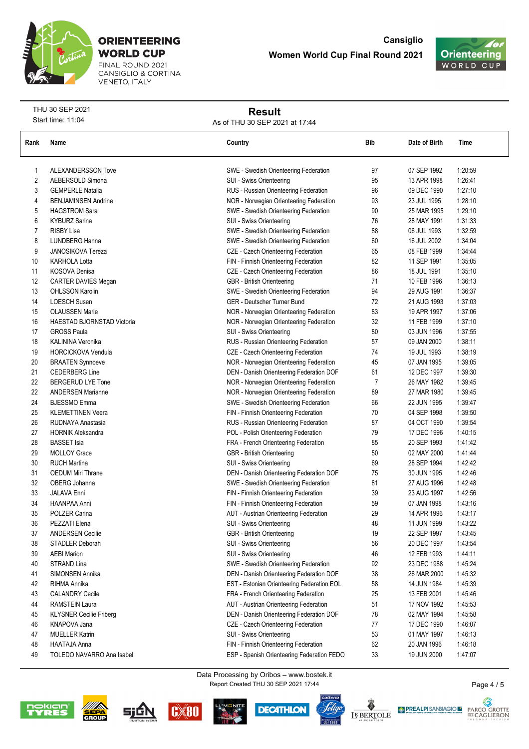

FINAL ROUND 2021<br>CANSIGLIO & CORTINA **VENETO, ITALY** 



THU 30 SEP 2021 Start time: 11:04

## **Result**

As of THU 30 SEP 2021 at 17:44

| Rank           | Name                           | Country                                    | Bib | Date of Birth | Time    |
|----------------|--------------------------------|--------------------------------------------|-----|---------------|---------|
| 1              | <b>ALEXANDERSSON Tove</b>      | SWE - Swedish Orienteering Federation      | 97  | 07 SEP 1992   | 1:20:59 |
| 2              | AEBERSOLD Simona               | SUI - Swiss Orienteering                   | 95  | 13 APR 1998   | 1:26:41 |
| 3              | <b>GEMPERLE Natalia</b>        | RUS - Russian Orienteering Federation      | 96  | 09 DEC 1990   | 1.27:10 |
| 4              | <b>BENJAMINSEN Andrine</b>     | NOR - Norwegian Orienteering Federation    | 93  | 23 JUL 1995   | 1:28:10 |
| 5              | <b>HAGSTROM Sara</b>           | SWE - Swedish Orienteering Federation      | 90  | 25 MAR 1995   | 1:29:10 |
| 6              | <b>KYBURZ Sarina</b>           | SUI - Swiss Orienteering                   | 76  | 28 MAY 1991   | 1:31:33 |
| $\overline{7}$ | <b>RISBY Lisa</b>              | SWE - Swedish Orienteering Federation      | 88  | 06 JUL 1993   | 1:32:59 |
| 8              | LUNDBERG Hanna                 | SWE - Swedish Orienteering Federation      | 60  | 16 JUL 2002   | 1:34:04 |
| 9              | <b>JANOSIKOVA Tereza</b>       | CZE - Czech Orienteering Federation        | 65  | 08 FEB 1999   | 1:34:44 |
| 10             | <b>KARHOLA Lotta</b>           | FIN - Finnish Orienteering Federation      | 82  | 11 SEP 1991   | 1:35:05 |
| 11             | KOSOVA Denisa                  | CZE - Czech Orienteering Federation        | 86  | 18 JUL 1991   | 1:35:10 |
| 12             | CARTER DAVIES Megan            | <b>GBR</b> - British Orienteering          | 71  | 10 FEB 1996   | 1:36:13 |
| 13             | <b>OHLSSON Karolin</b>         | SWE - Swedish Orienteering Federation      | 94  | 29 AUG 1991   | 1:36:37 |
| 14             | <b>LOESCH Susen</b>            | GER - Deutscher Turner Bund                | 72  | 21 AUG 1993   | 1:37:03 |
| 15             | <b>OLAUSSEN Marie</b>          | NOR - Norwegian Orienteering Federation    | 83  | 19 APR 1997   | 1:37:06 |
| 16             | HAESTAD BJORNSTAD Victoria     | NOR - Norwegian Orienteering Federation    | 32  | 11 FEB 1999   | 1:37:10 |
| 17             | <b>GROSS Paula</b>             | SUI - Swiss Orienteering                   | 80  | 03 JUN 1996   | 1:37:55 |
| 18             | KALININA Veronika              | RUS - Russian Orienteering Federation      | 57  | 09 JAN 2000   | 1:38:11 |
| 19             | <b>HORCICKOVA Vendula</b>      | CZE - Czech Orienteering Federation        | 74  | 19 JUL 1993   | 1:38:19 |
| 20             | <b>BRAATEN Synnoeve</b>        | NOR - Norwegian Orienteering Federation    | 45  | 07 JAN 1995   | 1:39:05 |
| 21             | <b>CEDERBERG Line</b>          | DEN - Danish Orienteering Federation DOF   | 61  | 12 DEC 1997   | 1:39:30 |
| 22             | <b>BERGERUD LYE Tone</b>       | NOR - Norwegian Orienteering Federation    | 7   | 26 MAY 1982   | 1:39:45 |
| 22             | <b>ANDERSEN Marianne</b>       | NOR - Norwegian Orienteering Federation    | 89  | 27 MAR 1980   | 1:39:45 |
| 24             | <b>BJESSMO</b> Emma            | SWE - Swedish Orienteering Federation      | 66  | 22 JUN 1995   | 1:39:47 |
| 25             | <b>KLEMETTINEN Veera</b>       | FIN - Finnish Orienteering Federation      | 70  | 04 SEP 1998   | 1:39:50 |
| 26             | RUDNAYA Anastasia              | RUS - Russian Orienteering Federation      | 87  | 04 OCT 1990   | 1:39:54 |
| 27             | <b>HORNIK Aleksandra</b>       | POL - Polish Orienteering Federation       | 79  | 17 DEC 1996   | 1:40:15 |
| 28             | <b>BASSET</b> Isia             | FRA - French Orienteering Federation       | 85  | 20 SEP 1993   | 1:41:42 |
| 29             | <b>MOLLOY Grace</b>            | GBR - British Orienteering                 | 50  | 02 MAY 2000   | 14144   |
| 30             | <b>RUCH Martina</b>            | SUI - Swiss Orienteering                   | 69  | 28 SEP 1994   | 1:42:42 |
| 31             | <b>OEDUM Miri Thrane</b>       | DEN - Danish Orienteering Federation DOF   | 75  | 30 JUN 1995   | 1.42.46 |
| 32             | OBERG Johanna                  | SWE - Swedish Orienteering Federation      | 81  | 27 AUG 1996   | 1:42:48 |
| 33             | <b>JALAVA Enni</b>             | FIN - Finnish Orienteering Federation      | 39  | 23 AUG 1997   | 1:42:56 |
| 34             | HAANPAA Anni                   | FIN - Finnish Orienteering Federation      | 59  | 07 JAN 1998   | 1:43:16 |
| 35             | POLZER Carina                  | AUT - Austrian Orienteering Federation     | 29  | 14 APR 1996   | 1:43:17 |
| 36             | PEZZATI Elena                  | SUI - Swiss Orienteering                   | 48  | 11 JUN 1999   | 1:43:22 |
| 37             | <b>ANDERSEN Cecilie</b>        | <b>GBR</b> - British Orienteering          | 19  | 22 SEP 1997   | 1:43:45 |
| 38             | STADLER Deborah                | SUI - Swiss Orienteering                   | 56  | 20 DEC 1997   | 1:43:54 |
| 39             | <b>AEBI Marion</b>             | SUI - Swiss Orienteering                   | 46  | 12 FEB 1993   | 1.44.11 |
| 40             | STRAND Lina                    | SWE - Swedish Orienteering Federation      | 92  | 23 DEC 1988   | 145:24  |
| 41             | SIMONSEN Annika                | DEN - Danish Orienteering Federation DOF   | 38  | 26 MAR 2000   | 1:45:32 |
| 42             | RIHMA Annika                   | EST - Estonian Orienteering Federation EOL | 58  | 14 JUN 1984   | 1:45:39 |
| 43             | <b>CALANDRY Cecile</b>         | FRA - French Orienteering Federation       | 25  | 13 FEB 2001   | 1:45:46 |
| 44             | <b>RAMSTEIN Laura</b>          | AUT - Austrian Orienteering Federation     | 51  | 17 NOV 1992   | 1:45:53 |
| 45             | <b>KLYSNER Cecilie Friberg</b> | DEN - Danish Orienteering Federation DOF   | 78  | 02 MAY 1994   | 1:45:58 |
| 46             | KNAPOVA Jana                   | CZE - Czech Orienteering Federation        | 77  | 17 DEC 1990   | 1:46:07 |
| 47             | <b>MUELLER Katrin</b>          | SUI - Swiss Orienteering                   | 53  | 01 MAY 1997   | 1.46:13 |
| 48             | HAATAJA Anna                   | FIN - Finnish Orienteering Federation      | 62  | 20 JAN 1996   | 1:46:18 |
| 49             | TOLEDO NAVARRO Ana Isabel      | ESP - Spanish Orienteering Federation FEDO | 33  | 19 JUN 2000   | 1.47:07 |

Report Created THU 30 SEP 2021 17:44 Data Processing by Oribos – www.bostek.it













Page 4 / 5